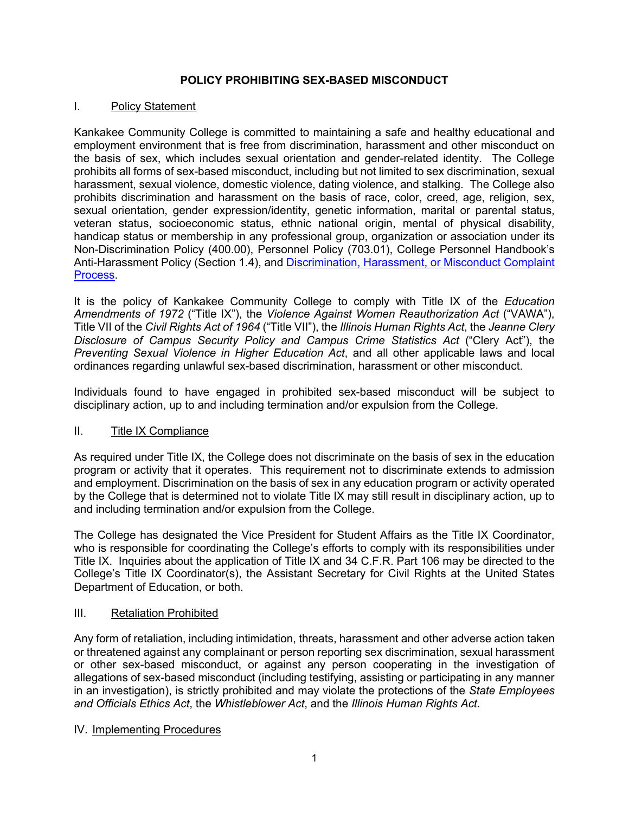# **POLICY PROHIBITING SEX-BASED MISCONDUCT**

### I. Policy Statement

Kankakee Community College is committed to maintaining a safe and healthy educational and employment environment that is free from discrimination, harassment and other misconduct on the basis of sex, which includes sexual orientation and gender-related identity. The College prohibits all forms of sex-based misconduct, including but not limited to sex discrimination, sexual harassment, sexual violence, domestic violence, dating violence, and stalking. The College also prohibits discrimination and harassment on the basis of race, color, creed, age, religion, sex, sexual orientation, gender expression/identity, genetic information, marital or parental status, veteran status, socioeconomic status, ethnic national origin, mental of physical disability, handicap status or membership in any professional group, organization or association under its Non-Discrimination Policy (400.00), Personnel Policy (703.01), College Personnel Handbook's Anti-Harassment Policy (Section 1.4), and Discrimination, Harassment, or Misconduct Complaint Process.

It is the policy of Kankakee Community College to comply with Title IX of the *Education Amendments of 1972* ("Title IX"), the *Violence Against Women Reauthorization Act* ("VAWA"), Title VII of the *Civil Rights Act of 1964* ("Title VII"), the *Illinois Human Rights Act*, the *Jeanne Clery Disclosure of Campus Security Policy and Campus Crime Statistics Act* ("Clery Act"), the *Preventing Sexual Violence in Higher Education Act*, and all other applicable laws and local ordinances regarding unlawful sex-based discrimination, harassment or other misconduct.

Individuals found to have engaged in prohibited sex-based misconduct will be subject to disciplinary action, up to and including termination and/or expulsion from the College.

# II. Title IX Compliance

As required under Title IX, the College does not discriminate on the basis of sex in the education program or activity that it operates. This requirement not to discriminate extends to admission and employment. Discrimination on the basis of sex in any education program or activity operated by the College that is determined not to violate Title IX may still result in disciplinary action, up to and including termination and/or expulsion from the College.

The College has designated the Vice President for Student Affairs as the Title IX Coordinator, who is responsible for coordinating the College's efforts to comply with its responsibilities under Title IX. Inquiries about the application of Title IX and 34 C.F.R. Part 106 may be directed to the College's Title IX Coordinator(s), the Assistant Secretary for Civil Rights at the United States Department of Education, or both.

### III. Retaliation Prohibited

Any form of retaliation, including intimidation, threats, harassment and other adverse action taken or threatened against any complainant or person reporting sex discrimination, sexual harassment or other sex-based misconduct, or against any person cooperating in the investigation of allegations of sex-based misconduct (including testifying, assisting or participating in any manner in an investigation), is strictly prohibited and may violate the protections of the *State Employees and Officials Ethics Act*, the *Whistleblower Act*, and the *Illinois Human Rights Act*.

### IV. Implementing Procedures